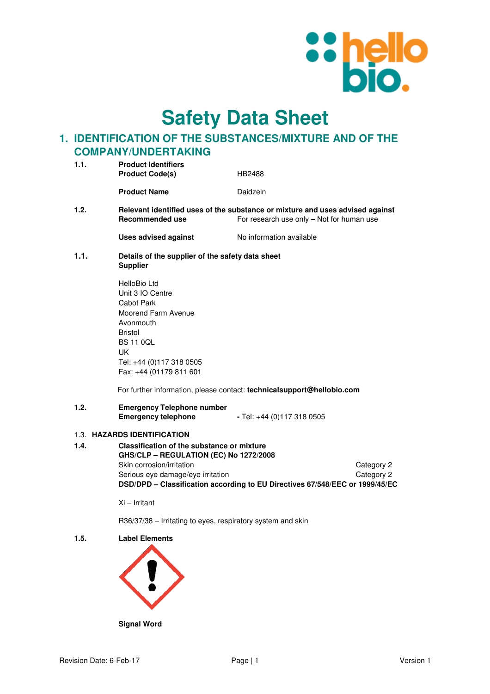

**Safety Data Sheet**

# **1. IDENTIFICATION OF THE SUBSTANCES/MIXTURE AND OF THE COMPANY/UNDERTAKING**

| 1.1. | <b>Product Identifiers</b>                                                                                                                                                            |                                                                                                                            |                          |
|------|---------------------------------------------------------------------------------------------------------------------------------------------------------------------------------------|----------------------------------------------------------------------------------------------------------------------------|--------------------------|
|      | <b>Product Code(s)</b>                                                                                                                                                                | HB2488                                                                                                                     |                          |
|      | <b>Product Name</b>                                                                                                                                                                   | Daidzein                                                                                                                   |                          |
| 1.2. | <b>Recommended use</b>                                                                                                                                                                | Relevant identified uses of the substance or mixture and uses advised against<br>For research use only - Not for human use |                          |
|      | <b>Uses advised against</b>                                                                                                                                                           | No information available                                                                                                   |                          |
| 1.1. | Details of the supplier of the safety data sheet<br><b>Supplier</b>                                                                                                                   |                                                                                                                            |                          |
|      | HelloBio Ltd<br>Unit 3 IO Centre<br>Cabot Park<br>Moorend Farm Avenue<br>Avonmouth<br><b>Bristol</b><br><b>BS 11 0QL</b><br>UK<br>Tel: +44 (0)117 318 0505<br>Fax: +44 (01179 811 601 | For further information, please contact: technicalsupport@hellobio.com                                                     |                          |
| 1.2. | <b>Emergency Telephone number</b><br><b>Emergency telephone</b>                                                                                                                       | - Tel: +44 (0)117 318 0505                                                                                                 |                          |
|      | 1.3. HAZARDS IDENTIFICATION                                                                                                                                                           |                                                                                                                            |                          |
| 1.4. | <b>Classification of the substance or mixture</b><br>GHS/CLP - REGULATION (EC) No 1272/2008<br>Skin corrosion/irritation<br>Serious eye damage/eye irritation                         | DSD/DPD - Classification according to EU Directives 67/548/EEC or 1999/45/EC                                               | Category 2<br>Category 2 |

Xi – Irritant

R36/37/38 – Irritating to eyes, respiratory system and skin

**1.5. Label Elements** 



**Signal Word**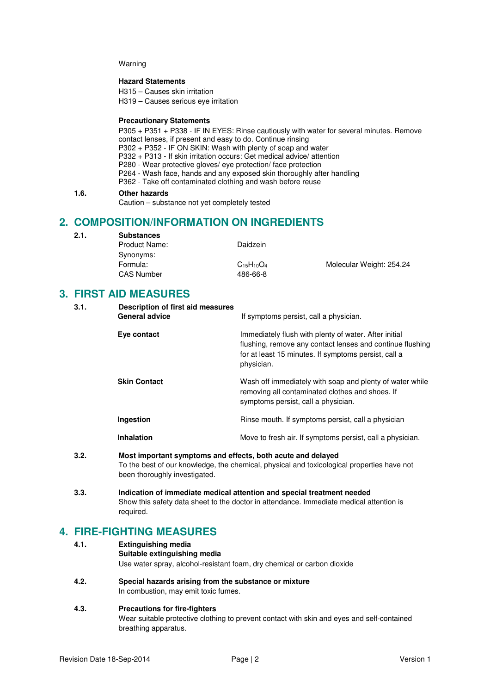#### Warning

### **Hazard Statements**

H315 – Causes skin irritation

H319 – Causes serious eye irritation

## **Precautionary Statements**

P305 + P351 + P338 - IF IN EYES: Rinse cautiously with water for several minutes. Remove contact lenses, if present and easy to do. Continue rinsing P302 + P352 - IF ON SKIN: Wash with plenty of soap and water P332 + P313 - If skin irritation occurs: Get medical advice/ attention P280 - Wear protective gloves/ eye protection/ face protection P264 - Wash face, hands and any exposed skin thoroughly after handling P362 - Take off contaminated clothing and wash before reuse

### **1.6. Other hazards**

Caution – substance not yet completely tested

## **2. COMPOSITION/INFORMATION ON INGREDIENTS**

## **2.1. Substances**

| Daidzein          |                          |
|-------------------|--------------------------|
|                   |                          |
| $C_{15}H_{10}O_4$ | Molecular Weight: 254.24 |
| 486-66-8          |                          |
|                   |                          |

# **3. FIRST AID MEASURES**

| 3.1. | Description of first aid measures<br><b>General advice</b> | If symptoms persist, call a physician.                                                                                                                                                   |
|------|------------------------------------------------------------|------------------------------------------------------------------------------------------------------------------------------------------------------------------------------------------|
|      | Eye contact                                                | Immediately flush with plenty of water. After initial<br>flushing, remove any contact lenses and continue flushing<br>for at least 15 minutes. If symptoms persist, call a<br>physician. |
|      | <b>Skin Contact</b>                                        | Wash off immediately with soap and plenty of water while<br>removing all contaminated clothes and shoes. If<br>symptoms persist, call a physician.                                       |
|      | Ingestion                                                  | Rinse mouth. If symptoms persist, call a physician                                                                                                                                       |
|      | <b>Inhalation</b>                                          | Move to fresh air. If symptoms persist, call a physician.                                                                                                                                |
| ^ ^  |                                                            |                                                                                                                                                                                          |

- **3.2. Most important symptoms and effects, both acute and delayed**  To the best of our knowledge, the chemical, physical and toxicological properties have not been thoroughly investigated.
- **3.3. Indication of immediate medical attention and special treatment needed**  Show this safety data sheet to the doctor in attendance. Immediate medical attention is required.

# **4. FIRE-FIGHTING MEASURES**

| 4.1. | <b>Extinguishing media</b>                                              |
|------|-------------------------------------------------------------------------|
|      | Suitable extinguishing media                                            |
|      | Use water spray, alcohol-resistant foam, dry chemical or carbon dioxide |

**4.2. Special hazards arising from the substance or mixture**  In combustion, may emit toxic fumes.

## **4.3. Precautions for fire-fighters**

Wear suitable protective clothing to prevent contact with skin and eyes and self-contained breathing apparatus.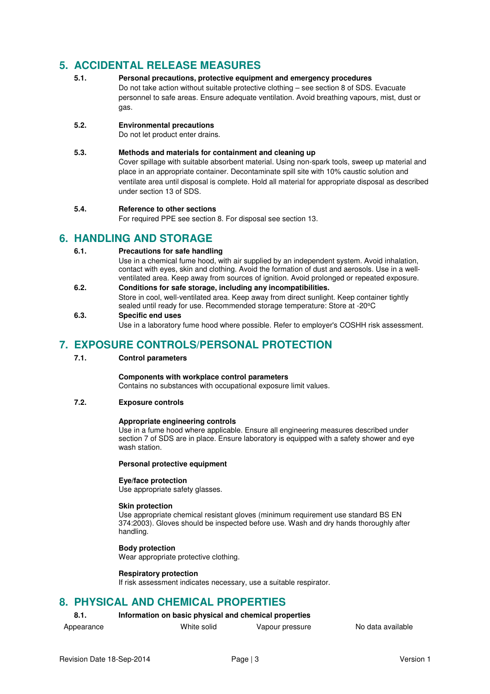# **5. ACCIDENTAL RELEASE MEASURES**

**5.1. Personal precautions, protective equipment and emergency procedures**  Do not take action without suitable protective clothing – see section 8 of SDS. Evacuate personnel to safe areas. Ensure adequate ventilation. Avoid breathing vapours, mist, dust or gas.

## **5.2. Environmental precautions**

Do not let product enter drains.

## **5.3. Methods and materials for containment and cleaning up**

Cover spillage with suitable absorbent material. Using non-spark tools, sweep up material and place in an appropriate container. Decontaminate spill site with 10% caustic solution and ventilate area until disposal is complete. Hold all material for appropriate disposal as described under section 13 of SDS.

## **5.4. Reference to other sections**

For required PPE see section 8. For disposal see section 13.

## **6. HANDLING AND STORAGE**

## **6.1. Precautions for safe handling**

Use in a chemical fume hood, with air supplied by an independent system. Avoid inhalation, contact with eyes, skin and clothing. Avoid the formation of dust and aerosols. Use in a wellventilated area. Keep away from sources of ignition. Avoid prolonged or repeated exposure.

**6.2. Conditions for safe storage, including any incompatibilities.**  Store in cool, well-ventilated area. Keep away from direct sunlight. Keep container tightly sealed until ready for use. Recommended storage temperature: Store at -20°C

## **6.3. Specific end uses**

Use in a laboratory fume hood where possible. Refer to employer's COSHH risk assessment.

## **7. EXPOSURE CONTROLS/PERSONAL PROTECTION**

### **7.1. Control parameters**

## **Components with workplace control parameters**

Contains no substances with occupational exposure limit values.

## **7.2. Exposure controls**

#### **Appropriate engineering controls**

Use in a fume hood where applicable. Ensure all engineering measures described under section 7 of SDS are in place. Ensure laboratory is equipped with a safety shower and eye wash station.

### **Personal protective equipment**

#### **Eye/face protection**

Use appropriate safety glasses.

#### **Skin protection**

Use appropriate chemical resistant gloves (minimum requirement use standard BS EN 374:2003). Gloves should be inspected before use. Wash and dry hands thoroughly after handling.

### **Body protection**

Wear appropriate protective clothing.

### **Respiratory protection**

If risk assessment indicates necessary, use a suitable respirator.

## **8. PHYSICAL AND CHEMICAL PROPERTIES**

## **8.1. Information on basic physical and chemical properties**

- 
- Appearance **All Mille Solid** Vapour pressure No data available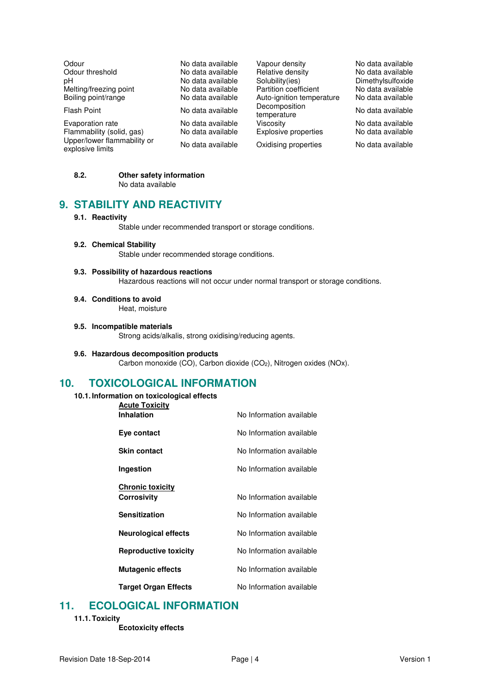| Odour                                           | No data available |
|-------------------------------------------------|-------------------|
| Odour threshold                                 | No data available |
| рH                                              | No data available |
| Melting/freezing point                          | No data available |
| Boiling point/range                             | No data available |
| Flash Point                                     | No data available |
| Evaporation rate                                | No data available |
| Flammability (solid, gas)                       | No data available |
| Upper/lower flammability or<br>explosive limits | No data available |

Vapour density<br>
Relative density<br>
No data available Relative density<br>Solubility (ies) Partition coefficient No data available<br>Auto-ignition temperature No data available Auto-ignition temperature Decomposition<br>temperature Decomposition<br>temperature No data available<br>Viscosity No data available Explosive properties Oxidising properties No data available

Dimethylsulfoxide<br>No data available

No data available<br>No data available

## **8.2. Other safety information**

No data available

# **9. STABILITY AND REACTIVITY**

#### **9.1. Reactivity**

Stable under recommended transport or storage conditions.

**9.2. Chemical Stability** 

Stable under recommended storage conditions.

## **9.3. Possibility of hazardous reactions**

Hazardous reactions will not occur under normal transport or storage conditions.

**9.4. Conditions to avoid** 

Heat, moisture

#### **9.5. Incompatible materials**

Strong acids/alkalis, strong oxidising/reducing agents.

## **9.6. Hazardous decomposition products**

Carbon monoxide (CO), Carbon dioxide (CO2), Nitrogen oxides (NOx).

## **10. TOXICOLOGICAL INFORMATION**

**10.1. Information on toxicological effects** 

| <b>Acute Toxicity</b>        |                          |
|------------------------------|--------------------------|
| <b>Inhalation</b>            | No Information available |
| Eye contact                  | No Information available |
| <b>Skin contact</b>          | No Information available |
| Ingestion                    | No Information available |
| <b>Chronic toxicity</b>      |                          |
|                              | No Information available |
| Corrosivity                  |                          |
| Sensitization                | No Information available |
| <b>Neurological effects</b>  | No Information available |
| <b>Reproductive toxicity</b> | No Information available |
| <b>Mutagenic effects</b>     | No Information available |
| <b>Target Organ Effects</b>  | No Information available |

## **11. ECOLOGICAL INFORMATION**

### **11.1. Toxicity**

**Ecotoxicity effects**